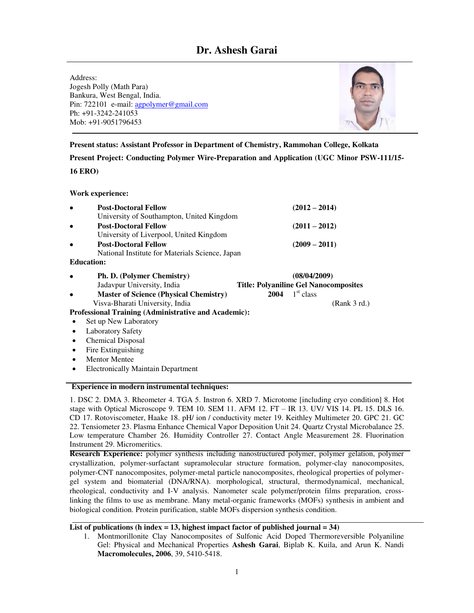# **Dr. Ashesh Garai**

Address: Jogesh Polly (Math Para) Bankura, West Bengal, India. Pin: 722101 e-mail: [agpolymer@gmail.com](mailto:agpolymer@gmail.com)  Ph: +91-3242-241053 Mob: +91-9051796453



### **Present status: Assistant Professor in Department of Chemistry, Rammohan College, Kolkata**

**Present Project: Conducting Polymer Wire-Preparation and Application (UGC Minor PSW-111/15- 16 ERO)** 

#### **Work experience:**

|           | <b>Post-Doctoral Fellow</b><br>University of Southampton, United Kingdom       |                                                              | $(2012 - 2014)$       |              |
|-----------|--------------------------------------------------------------------------------|--------------------------------------------------------------|-----------------------|--------------|
|           | <b>Post-Doctoral Fellow</b><br>University of Liverpool, United Kingdom         |                                                              | $(2011 - 2012)$       |              |
|           | <b>Post-Doctoral Fellow</b><br>National Institute for Materials Science, Japan |                                                              | $(2009 - 2011)$       |              |
|           | <b>Education:</b>                                                              |                                                              |                       |              |
|           | <b>Ph. D. (Polymer Chemistry)</b>                                              | (08/04/2009)<br><b>Title: Polyaniline Gel Nanocomposites</b> |                       |              |
|           | Jadavpur University, India                                                     |                                                              |                       |              |
|           | <b>Master of Science (Physical Chemistry)</b>                                  | 2004                                                         | 1 <sup>st</sup> class |              |
|           | Visva-Bharati University, India                                                |                                                              |                       | (Rank 3 rd.) |
|           | <b>Professional Training (Administrative and Academic):</b>                    |                                                              |                       |              |
|           | Set up New Laboratory                                                          |                                                              |                       |              |
|           | <b>Laboratory Safety</b>                                                       |                                                              |                       |              |
| $\bullet$ | <b>Chemical Disposal</b>                                                       |                                                              |                       |              |
|           | Fire Extinguishing                                                             |                                                              |                       |              |
|           |                                                                                |                                                              |                       |              |

Electronically Maintain Department

#### **Experience in modern instrumental techniques:**

1. DSC 2. DMA 3. Rheometer 4. TGA 5. Instron 6. XRD 7. Microtome [including cryo condition] 8. Hot stage with Optical Microscope 9. TEM 10. SEM 11. AFM 12. FT – IR 13. UV/ VIS 14. PL 15. DLS 16. CD 17. Rotoviscometer, Haake 18. pH/ ion / conductivity meter 19. Keithley Multimeter 20. GPC 21. GC 22. Tensiometer 23. Plasma Enhance Chemical Vapor Deposition Unit 24. Quartz Crystal Microbalance 25. Low temperature Chamber 26. Humidity Controller 27. Contact Angle Measurement 28. Fluorination Instrument 29. Micromeritics.

**Research Experience:** polymer synthesis including nanostructured polymer, polymer gelation, polymer crystallization, polymer-surfactant supramolecular structure formation, polymer-clay nanocomposites, polymer-CNT nanocomposites, polymer-metal particle nanocomposites, rheological properties of polymergel system and biomaterial (DNA/RNA). morphological, structural, thermodynamical, mechanical, rheological, conductivity and I-V analysis. Nanometer scale polymer/protein films preparation, crosslinking the films to use as membrane. Many metal-organic frameworks (MOFs) synthesis in ambient and biological condition. Protein purification, stable MOFs dispersion synthesis condition.

## **List of publications (h index = 13, highest impact factor of published journal = 34)**

1. Montmorillonite Clay Nanocomposites of Sulfonic Acid Doped Thermoreversible Polyaniline Gel: Physical and Mechanical Properties **Ashesh Garai**, Biplab K. Kuila, and Arun K. Nandi **Macromolecules, 2006**, 39, 5410-5418.